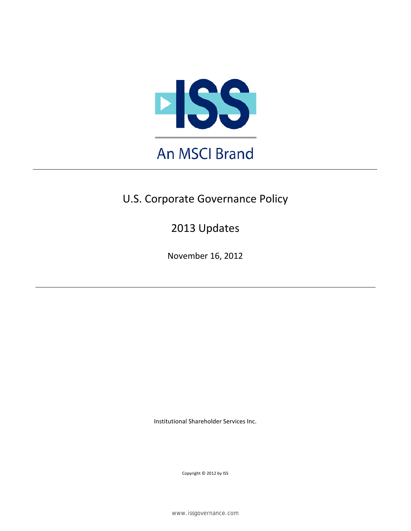

# U.S. Corporate Governance Policy

2013 Updates

November 16, 2012

Institutional Shareholder Services Inc.

Copyright © 2012 by ISS

www.issgovernance.com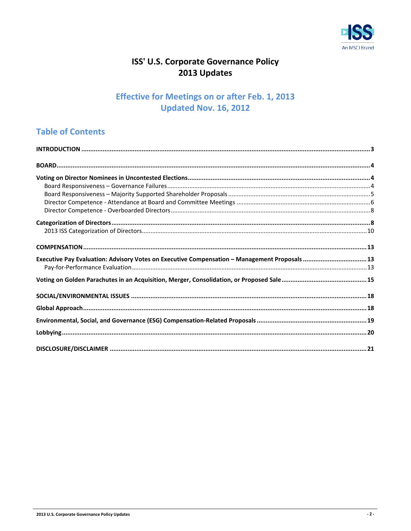

## ISS' U.S. Corporate Governance Policy 2013 Updates

## **Effective for Meetings on or after Feb. 1, 2013 Updated Nov. 16, 2012**

## **Table of Contents**

| Executive Pay Evaluation: Advisory Votes on Executive Compensation - Management Proposals  13 |  |
|-----------------------------------------------------------------------------------------------|--|
|                                                                                               |  |
|                                                                                               |  |
|                                                                                               |  |
|                                                                                               |  |
|                                                                                               |  |
|                                                                                               |  |
|                                                                                               |  |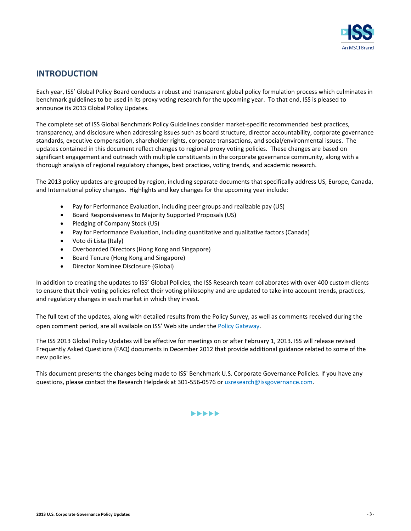

### <span id="page-2-0"></span>**INTRODUCTION**

Each year, ISS' Global Policy Board conducts a robust and transparent global policy formulation process which culminates in benchmark guidelines to be used in its proxy voting research for the upcoming year. To that end, ISS is pleased to announce its 2013 Global Policy Updates.

The complete set of ISS Global Benchmark Policy Guidelines consider market-specific recommended best practices, transparency, and disclosure when addressing issues such as board structure, director accountability, corporate governance standards, executive compensation, shareholder rights, corporate transactions, and social/environmental issues. The updates contained in this document reflect changes to regional proxy voting policies. These changes are based on significant engagement and outreach with multiple constituents in the corporate governance community, along with a thorough analysis of regional regulatory changes, best practices, voting trends, and academic research.

The 2013 policy updates are grouped by region, including separate documents that specifically address US, Europe, Canada, and International policy changes. Highlights and key changes for the upcoming year include:

- Pay for Performance Evaluation, including peer groups and realizable pay (US)
- Board Responsiveness to Majority Supported Proposals (US)
- Pledging of Company Stock (US)
- Pay for Performance Evaluation, including quantitative and qualitative factors (Canada)
- Voto di Lista (Italy)
- Overboarded Directors (Hong Kong and Singapore)
- Board Tenure (Hong Kong and Singapore)
- Director Nominee Disclosure (Global)

In addition to creating the updates to ISS' Global Policies, the ISS Research team collaborates with over 400 custom clients to ensure that their voting policies reflect their voting philosophy and are updated to take into account trends, practices, and regulatory changes in each market in which they invest.

The full text of the updates, along with detailed results from the Policy Survey, as well as comments received during the open comment period, are all available on ISS' Web site under the [Policy Gateway.](http://www.issgovernance.com/policy)

The ISS 2013 Global Policy Updates will be effective for meetings on or after February 1, 2013. ISS will release revised Frequently Asked Questions (FAQ) documents in December 2012 that provide additional guidance related to some of the new policies.

This document presents the changes being made to ISS' Benchmark U.S. Corporate Governance Policies. If you have any questions, please contact the Research Helpdesk at 301-556-0576 or [usresearch@issgovernance.com.](mailto:usresearch@issgovernance.com)

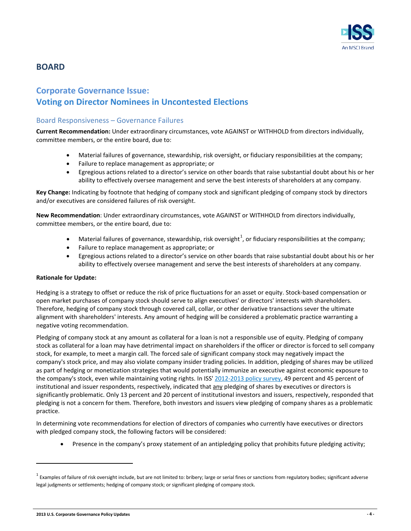

### <span id="page-3-0"></span>**BOARD**

## <span id="page-3-1"></span>**Corporate Governance Issue: Voting on Director Nominees in Uncontested Elections**

#### <span id="page-3-2"></span>Board Responsiveness – Governance Failures

**Current Recommendation:** Under extraordinary circumstances, vote AGAINST or WITHHOLD from directors individually, committee members, or the entire board, due to:

- Material failures of governance, stewardship, risk oversight, or fiduciary responsibilities at the company;
- Failure to replace management as appropriate; or
- Egregious actions related to a director's service on other boards that raise substantial doubt about his or her ability to effectively oversee management and serve the best interests of shareholders at any company.

**Key Change:** Indicating by footnote that hedging of company stock and significant pledging of company stock by directors and/or executives are considered failures of risk oversight.

**New Recommendation**: Under extraordinary circumstances, vote AGAINST or WITHHOLD from directors individually, committee members, or the entire board, due to:

- Material failures of governance, stewardship, risk oversight<sup>[1](#page-3-3)</sup>, or fiduciary responsibilities at the company;
- Failure to replace management as appropriate; or
- Egregious actions related to a director's service on other boards that raise substantial doubt about his or her ability to effectively oversee management and serve the best interests of shareholders at any company.

#### **Rationale for Update:**

Hedging is a strategy to offset or reduce the risk of price fluctuations for an asset or equity. Stock-based compensation or open market purchases of company stock should serve to align executives' or directors' interests with shareholders. Therefore, hedging of company stock through covered call, collar, or other derivative transactions sever the ultimate alignment with shareholders' interests. Any amount of hedging will be considered a problematic practice warranting a negative voting recommendation.

Pledging of company stock at any amount as collateral for a loan is not a responsible use of equity. Pledging of company stock as collateral for a loan may have detrimental impact on shareholders if the officer or director is forced to sell company stock, for example, to meet a margin call. The forced sale of significant company stock may negatively impact the company's stock price, and may also violate company insider trading policies. In addition, pledging of shares may be utilized as part of hedging or monetization strategies that would potentially immunize an executive against economic exposure to the company's stock, even while maintaining voting rights. In ISS' [2012-2013 policy survey,](http://www.issgovernance.com/files/private/ISSPolicySurveyResults2012.pdf) 49 percent and 45 percent of institutional and issuer respondents, respectively, indicated that any pledging of shares by executives or directors is significantly problematic. Only 13 percent and 20 percent of institutional investors and issuers, respectively, responded that pledging is not a concern for them. Therefore, both investors and issuers view pledging of company shares as a problematic practice.

In determining vote recommendations for election of directors of companies who currently have executives or directors with pledged company stock, the following factors will be considered:

• Presence in the company's proxy statement of an antipledging policy that prohibits future pledging activity;

<span id="page-3-3"></span> $1$  Examples of failure of risk oversight include, but are not limited to: bribery; large or serial fines or sanctions from regulatory bodies; significant adverse legal judgments or settlements; hedging of company stock; or significant pledging of company stock.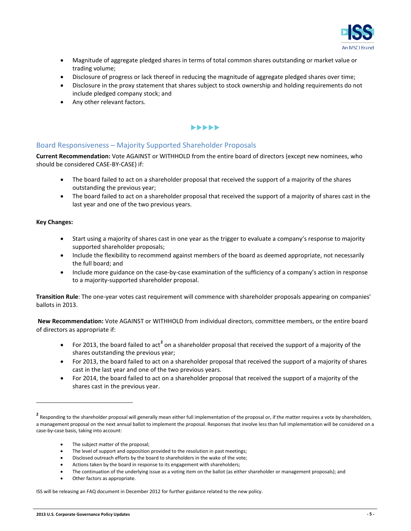

- Magnitude of aggregate pledged shares in terms of total common shares outstanding or market value or trading volume;
- Disclosure of progress or lack thereof in reducing the magnitude of aggregate pledged shares over time;
- Disclosure in the proxy statement that shares subject to stock ownership and holding requirements do not include pledged company stock; and
- Any other relevant factors.

#### $\blacktriangleright\blacktriangleright\blacktriangleright\blacktriangleright\blacktriangleright$

#### <span id="page-4-0"></span>Board Responsiveness – Majority Supported Shareholder Proposals

**Current Recommendation:** Vote AGAINST or WITHHOLD from the entire board of directors (except new nominees, who should be considered CASE-BY-CASE) if:

- The board failed to act on a shareholder proposal that received the support of a majority of the shares outstanding the previous year;
- The board failed to act on a shareholder proposal that received the support of a majority of shares cast in the last year and one of the two previous years.

#### **Key Changes:**

 $\overline{a}$ 

- Start using a majority of shares cast in one year as the trigger to evaluate a company's response to majority supported shareholder proposals;
- Include the flexibility to recommend against members of the board as deemed appropriate, not necessarily the full board; and
- Include more guidance on the case-by-case examination of the sufficiency of a company's action in response to a majority-supported shareholder proposal.

**Transition Rule**: The one-year votes cast requirement will commence with shareholder proposals appearing on companies' ballots in 2013.

**New Recommendation:** Vote AGAINST or WITHHOLD from individual directors, committee members, or the entire board of directors as appropriate if:

- For [2](#page-4-1)013, the board failed to act<sup>2</sup> on a shareholder proposal that received the support of a majority of the shares outstanding the previous year;
- For 2013, the board failed to act on a shareholder proposal that received the support of a majority of shares cast in the last year and one of the two previous years.
- For 2014, the board failed to act on a shareholder proposal that received the support of a majority of the shares cast in the previous year.

- The subject matter of the proposal;
- The level of support and opposition provided to the resolution in past meetings;
- Disclosed outreach efforts by the board to shareholders in the wake of the vote;
- Actions taken by the board in response to its engagement with shareholders;
- The continuation of the underlying issue as a voting item on the ballot (as either shareholder or management proposals); and
- Other factors as appropriate.

ISS will be releasing an FAQ document in December 2012 for further guidance related to the new policy.

<span id="page-4-1"></span><sup>&</sup>lt;sup>2</sup> Responding to the shareholder proposal will generally mean either full implementation of the proposal or, if the matter requires a vote by shareholders, a management proposal on the next annual ballot to implement the proposal. Responses that involve less than full implementation will be considered on a case-by-case basis, taking into account: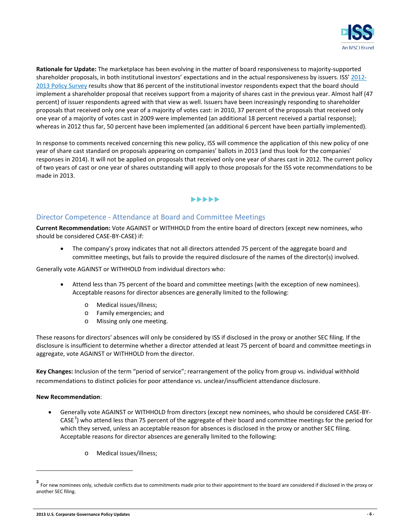

**Rationale for Update:** The marketplace has been evolving in the matter of board responsiveness to majority-supported shareholder proposals, in both institutional investors' expectations and in the actual responsiveness by issuers. ISS' [2012-](http://www.issgovernance.com/files/private/ISSPolicySurveyResults2012.pdf) [2013 Policy Survey](http://www.issgovernance.com/files/private/ISSPolicySurveyResults2012.pdf) results show that 86 percent of the institutional investor respondents expect that the board should implement a shareholder proposal that receives support from a majority of shares cast in the previous year. Almost half (47 percent) of issuer respondents agreed with that view as well. Issuers have been increasingly responding to shareholder proposals that received only one year of a majority of votes cast: in 2010, 37 percent of the proposals that received only one year of a majority of votes cast in 2009 were implemented (an additional 18 percent received a partial response); whereas in 2012 thus far, 50 percent have been implemented (an additional 6 percent have been partially implemented).

In response to comments received concerning this new policy, ISS will commence the application of this new policy of one year of share cast standard on proposals appearing on companies' ballots in 2013 (and thus look for the companies' responses in 2014). It will not be applied on proposals that received only one year of shares cast in 2012. The current policy of two years of cast or one year of shares outstanding will apply to those proposals for the ISS vote recommendations to be made in 2013.

#### $\blacktriangleright\blacktriangleright\blacktriangleright\blacktriangleright\blacktriangleright$

#### <span id="page-5-0"></span>Director Competence - Attendance at Board and Committee Meetings

**Current Recommendation:** Vote AGAINST or WITHHOLD from the entire board of directors (except new nominees, who should be considered CASE-BY-CASE) if:

• The company's proxy indicates that not all directors attended 75 percent of the aggregate board and committee meetings, but fails to provide the required disclosure of the names of the director(s) involved.

Generally vote AGAINST or WITHHOLD from individual directors who:

- Attend less than 75 percent of the board and committee meetings (with the exception of new nominees). Acceptable reasons for director absences are generally limited to the following:
	- o Medical issues/illness;
	-
	- o Family emergencies; and Missing only one meeting.

These reasons for directors' absences will only be considered by ISS if disclosed in the proxy or another SEC filing. If the disclosure is insufficient to determine whether a director attended at least 75 percent of board and committee meetings in aggregate, vote AGAINST or WITHHOLD from the director.

**Key Changes:** Inclusion of the term "period of service"; rearrangement of the policy from group vs. individual withhold recommendations to distinct policies for poor attendance vs. unclear/insufficient attendance disclosure.

#### **New Recommendation**:

- Generally vote AGAINST or WITHHOLD from directors (except new nominees, who should be considered CASE-BY- $CASE<sup>3</sup>$  $CASE<sup>3</sup>$  $CASE<sup>3</sup>$ ) who attend less than 75 percent of the aggregate of their board and committee meetings for the period for which they served, unless an acceptable reason for absences is disclosed in the proxy or another SEC filing. Acceptable reasons for director absences are generally limited to the following:
	- o Medical issues/illness;

<span id="page-5-1"></span>**<sup>3</sup>** For new nominees only, schedule conflicts due to commitments made prior to their appointment to the board are considered if disclosed in the proxy or another SEC filing.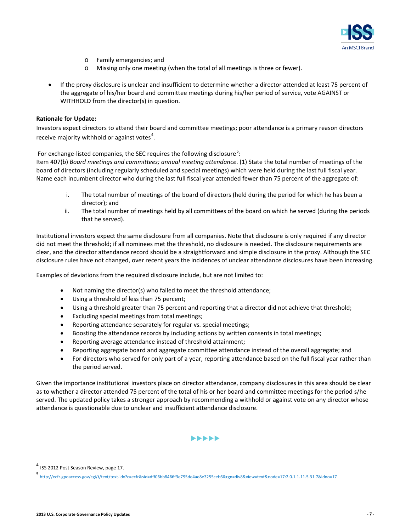

- o Family emergencies; and
- o Missing only one meeting (when the total of all meetings is three or fewer).
- If the proxy disclosure is unclear and insufficient to determine whether a director attended at least 75 percent of the aggregate of his/her board and committee meetings during his/her period of service, vote AGAINST or WITHHOLD from the director(s) in question.

#### **Rationale for Update:**

Investors expect directors to attend their board and committee meetings; poor attendance is a primary reason directors receive majority withhold or against votes<sup>[4](#page-6-0)</sup>.

For exchange-listed companies, the SEC requires the following disclosure<sup>[5](#page-6-1)</sup>:

Item 407(b) *Board meetings and committees; annual meeting attendance*. (1) State the total number of meetings of the board of directors (including regularly scheduled and special meetings) which were held during the last full fiscal year. Name each incumbent director who during the last full fiscal year attended fewer than 75 percent of the aggregate of:

- i. The total number of meetings of the board of directors (held during the period for which he has been a director); and
- ii. The total number of meetings held by all committees of the board on which he served (during the periods that he served).

Institutional investors expect the same disclosure from all companies. Note that disclosure is only required if any director did not meet the threshold; if all nominees met the threshold, no disclosure is needed. The disclosure requirements are clear, and the director attendance record should be a straightforward and simple disclosure in the proxy. Although the SEC disclosure rules have not changed, over recent years the incidences of unclear attendance disclosures have been increasing.

Examples of deviations from the required disclosure include, but are not limited to:

- Not naming the director(s) who failed to meet the threshold attendance;
- Using a threshold of less than 75 percent;
- Using a threshold greater than 75 percent and reporting that a director did not achieve that threshold;
- Excluding special meetings from total meetings;
- Reporting attendance separately for regular vs. special meetings;
- Boosting the attendance records by including actions by written consents in total meetings;
- Reporting average attendance instead of threshold attainment;
- Reporting aggregate board and aggregate committee attendance instead of the overall aggregate; and
- For directors who served for only part of a year, reporting attendance based on the full fiscal year rather than the period served.

Given the importance institutional investors place on director attendance, company disclosures in this area should be clear as to whether a director attended 75 percent of the total of his or her board and committee meetings for the period s/he served. The updated policy takes a stronger approach by recommending a withhold or against vote on any director whose attendance is questionable due to unclear and insufficient attendance disclosure.

 $\blacktriangleright\blacktriangleright\blacktriangleright\blacktriangleright\blacktriangleright$ 

<span id="page-6-0"></span>**<sup>4</sup>** ISS 2012 Post Season Review, page 17.

<span id="page-6-1"></span><http://ecfr.gpoaccess.gov/cgi/t/text/text-idx?c=ecfr&sid=dff06bb8466f3e795de4ae8e3255ceb6&rgn=div8&view=text&node=17:2.0.1.1.11.5.31.7&idno=17>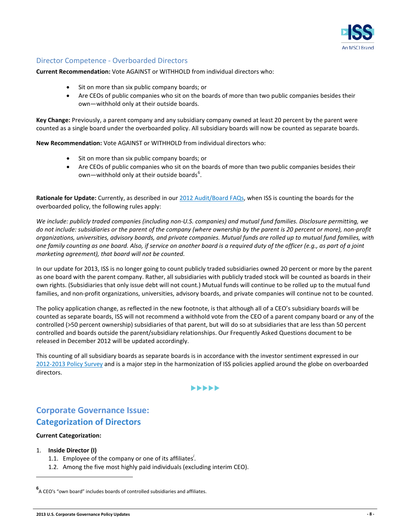

#### <span id="page-7-0"></span>Director Competence - Overboarded Directors

**Current Recommendation:** Vote AGAINST or WITHHOLD from individual directors who:

- Sit on more than six public company boards; or
- Are CEOs of public companies who sit on the boards of more than two public companies besides their own—withhold only at their outside boards.

**Key Change:** Previously, a parent company and any subsidiary company owned at least 20 percent by the parent were counted as a single board under the overboarded policy. All subsidiary boards will now be counted as separate boards.

**New Recommendation:** Vote AGAINST or WITHHOLD from individual directors who:

- Sit on more than six public company boards; or
- Are CEOs of public companies who sit on the boards of more than two public companies besides their own—withhold only at their outside boards<sup>[6](#page-7-2)</sup>.

**Rationale for Update:** Currently, as described in ou[r 2012 Audit/Board](http://www.issgovernance.com/policy/USAuditBoardFAQ) FAQs, when ISS is counting the boards for the overboarded policy, the following rules apply:

*We include: publicly traded companies (including non-U.S. companies) and mutual fund families. Disclosure permitting, we do not include: subsidiaries or the parent of the company (where ownership by the parent is 20 percent or more), non-profit organizations, universities, advisory boards, and private companies. Mutual funds are rolled up to mutual fund families, with one family counting as one board. Also, if service on another board is a required duty of the officer (e.g., as part of a joint marketing agreement), that board will not be counted.*

In our update for 2013, ISS is no longer going to count publicly traded subsidiaries owned 20 percent or more by the parent as one board with the parent company. Rather, all subsidiaries with publicly traded stock will be counted as boards in their own rights. (Subsidiaries that only issue debt will not count.) Mutual funds will continue to be rolled up to the mutual fund families, and non-profit organizations, universities, advisory boards, and private companies will continue not to be counted.

The policy application change, as reflected in the new footnote, is that although all of a CEO's subsidiary boards will be counted as separate boards, ISS will not recommend a withhold vote from the CEO of a parent company board or any of the controlled (>50 percent ownership) subsidiaries of that parent, but will do so at subsidiaries that are less than 50 percent controlled and boards outside the parent/subsidiary relationships. Our Frequently Asked Questions document to be released in December 2012 will be updated accordingly.

This counting of all subsidiary boards as separate boards is in accordance with the investor sentiment expressed in our [2012-2013 Policy Survey](http://www.issgovernance.com/files/private/ISSPolicySurveyResults2012.pdf) and is a major step in the harmonization of ISS policies applied around the globe on overboarded directors.

#### **>>>>>>**

## <span id="page-7-1"></span>**Corporate Governance Issue: Categorization of Directors**

#### **Current Categorization:**

1. **Inside Director (I)**

- 1.1. Employee of the company or one of its affiliates*<sup>i</sup>* .
- 1.2. Among the five most highly paid individuals (excluding interim CEO).

<span id="page-7-2"></span>**<sup>6</sup>** A CEO's "own board" includes boards of controlled subsidiaries and affiliates.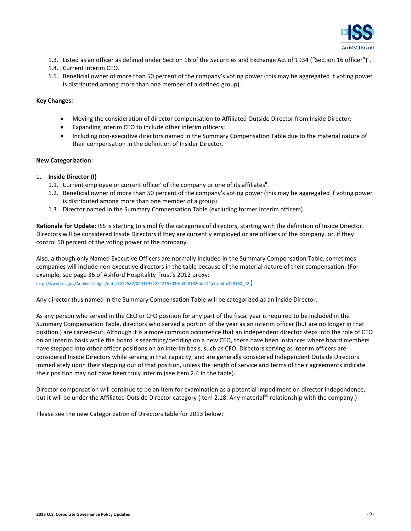

- 1.3. Listed as an officer as defined under Section 16 of the Securities and Exchange Act of 1934 ("Section 16 officer")<sup>"</sup>.
- 1.4. Current interim CEO.
- 1.5. Beneficial owner of more than 50 percent of the company's voting power (this may be aggregated if voting power is distributed among more than one member of a defined group).

#### **Key Changes:**

- Moving the consideration of director compensation to Affiliated Outside Director from Inside Director;
- Expanding interim CEO to include other interim officers;
- Including non-executive directors named in the Summary Compensation Table due to the material nature of their compensation in the definition of Insider Director.

#### **New Categorization:**

- 1. **Inside Director (I)**
	- 1.1. Current employee or current officer<sup>i</sup> of the company or one of its affiliates<sup>"</sup>.
	- 1.2. Beneficial owner of more than 50 percent of the company's voting power (this may be aggregated if voting power is distributed among more than one member of a group).
	- 1.3. Director named in the Summary Compensation Table (excluding former interim officers).

**Rationale for Update:** ISS is starting to simplify the categories of directors, starting with the definition of Inside Director. Directors will be considered Inside Directors if they are currently employed or are officers of the company, or, if they control 50 percent of the voting power of the company.

Also, although only Named Executive Officers are normally included in the Summary Compensation Table, sometimes companies will include non-executive directors in the table because of the material nature of their compensation. (For example, see page 36 of Ashford Hospitality Trust's 2012 proxy:

[http://www.sec.gov/Archives/edgar/data/1232582/000119312512157030/d328182ddef14a.htm#tx328182\\_42](http://www.sec.gov/Archives/edgar/data/1232582/000119312512157030/d328182ddef14a.htm#tx328182_42) )

Any director thus named in the Summary Compensation Table will be categorized as an Inside Director.

As any person who served in the CEO or CFO position for any part of the fiscal year is required to be included in the Summary Compensation Table, directors who served a portion of the year as an interim officer (but are no longer in that position ) are carved-out. Although it is a more common occurrence that an independent director steps into the role of CEO on an interim basis while the board is searching/deciding on a new CEO, there have been instances where board members have stepped into other officer positions on an interim basis, such as CFO. Directors serving as interim officers are considered Inside Directors while serving in that capacity, and are generally considered Independent Outside Directors immediately upon their stepping out of that position, unless the length of service and terms of their agreements indicate their position may not have been truly interim (see item 2.4 in the table).

Director compensation will continue to be an item for examination as a potential impediment on director independence, but it will be under the Affiliated Outside Director category (item 2.18: Any material*xii* relationship with the company.)

Please see the new Categorization of Directors table for 2013 below: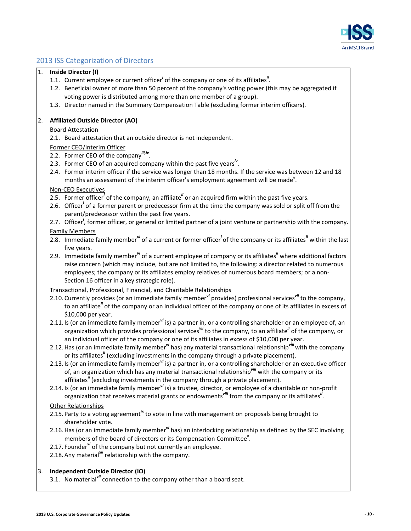

### <span id="page-9-0"></span>2013 ISS Categorization of Directors

#### 1. **Inside Director (I)**

- 1.1. Current employee or current officer<sup>*i*</sup> of the company or one of its affiliates<sup>"</sup>.
- 1.2. Beneficial owner of more than 50 percent of the company's voting power (this may be aggregated if voting power is distributed among more than one member of a group).
- 1.3. Director named in the Summary Compensation Table (excluding former interim officers).

#### 2. **Affiliated Outside Director (AO)**

#### Board Attestation

- 2.1. Board attestation that an outside director is not independent.
- Former CEO/Interim Officer
- 2.2. Former CEO of the company*iii,iv*.
- 2.3. Former CEO of an acquired company within the past five years*iv* .
- 2.4. Former interim officer if the service was longer than 18 months. If the service was between 12 and 18 months an assessment of the interim officer's employment agreement will be made*<sup>v</sup>* .

#### Non-CEO Executives

- 2.5. Former officer<sup>i</sup> of the company, an affiliate<sup>*ii*</sup> or an acquired firm within the past five years.
- 2.6. Officer<sup>i</sup> of a former parent or predecessor firm at the time the company was sold or split off from the parent/predecessor within the past five years.
- 2.7. Officer<sup>i</sup>, former officer, or general or limited partner of a joint venture or partnership with the company. Family Members
- 2.8. Immediate family member<sup>yi</sup> of a current or former officer<sup>*i*</sup> of the company or its affiliates<sup>"</sup> within the last five years.
- 2.9. Immediate family member*vi* of a current employee of company or its affiliates*ii* where additional factors raise concern (which may include, but are not limited to, the following: a director related to numerous employees; the company or its affiliates employ relatives of numerous board members; or a non-Section 16 officer in a key strategic role).

#### Transactional, Professional, Financial, and Charitable Relationships

- 2.10. Currently provides (or an immediate family member*vi* provides) professional services*vii* to the company, to an affiliate*ii* of the company or an individual officer of the company or one of its affiliates in excess of \$10,000 per year.
- 2.11. Is (or an immediate family member*vi* is) a partner in, or a controlling shareholder or an employee of, an organization which provides professional services*vii* to the company, to an affiliate*ii* of the company, or an individual officer of the company or one of its affiliates in excess of \$10,000 per year.
- 2.12.Has (or an immediate family member*vi* has) any material transactional relationship*viii* with the company or its affiliates*ii* (excluding investments in the company through a private placement).
- 2.13. Is (or an immediate family member*vi* is) a partner in, or a controlling shareholder or an executive officer of, an organization which has any material transactional relationship*viii* with the company or its affiliates*ii* (excluding investments in the company through a private placement).
- 2.14. Is (or an immediate family member*vi* is) a trustee, director, or employee of a charitable or non-profit organization that receives material grants or endowments<sup>viii</sup> from the company or its affiliates<sup>ii</sup>.

#### Other Relationships

- 2.15. Party to a voting agreement<sup>ix</sup> to vote in line with management on proposals being brought to shareholder vote.
- 2.16.Has (or an immediate family member*vi* has) an interlocking relationship as defined by the SEC involving members of the board of directors or its Compensation Committee*<sup>x</sup>* .
- 2.17. Founder*xi* of the company but not currently an employee.
- 2.18. Any material*xii* relationship with the company.

#### 3. **Independent Outside Director (IO)**

3.1. No material*xii* connection to the company other than a board seat.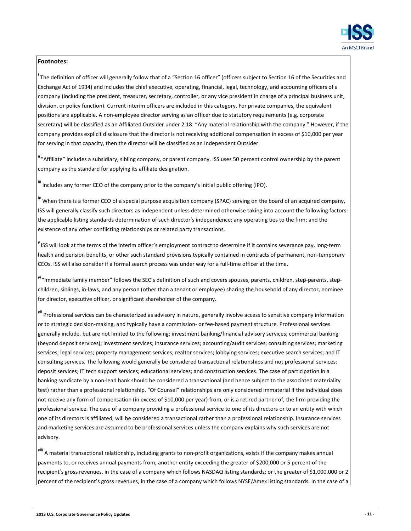

#### **Footnotes:**

*i*<br>The definition of officer will generally follow that of a "Section 16 officer" (officers subject to Section 16 of the Securities and Exchange Act of 1934) and includes the chief executive, operating, financial, legal, technology, and accounting officers of a company (including the president, treasurer, secretary, controller, or any vice president in charge of a principal business unit, division, or policy function). Current interim officers are included in this category. For private companies, the equivalent positions are applicable. A non-employee director serving as an officer due to statutory requirements (e.g. corporate secretary) will be classified as an Affiliated Outsider under 2.18: "Any material relationship with the company." However, if the company provides explicit disclosure that the director is not receiving additional compensation in excess of \$10,000 per year for serving in that capacity, then the director will be classified as an Independent Outsider.

*ii* "Affiliate" includes a subsidiary, sibling company, or parent company. ISS uses 50 percent control ownership by the parent company as the standard for applying its affiliate designation.

*iii* Includes any former CEO of the company prior to the company's initial public offering (IPO).

*iv* When there is a former CEO of a special purpose acquisition company (SPAC) serving on the board of an acquired company, ISS will generally classify such directors as independent unless determined otherwise taking into account the following factors: the applicable listing standards determination of such director's independence; any operating ties to the firm; and the existence of any other conflicting relationships or related party transactions.

*v* ISS will look at the terms of the interim officer's employment contract to determine if it contains severance pay, long-term health and pension benefits, or other such standard provisions typically contained in contracts of permanent, non-temporary CEOs. ISS will also consider if a formal search process was under way for a full-time officer at the time.

*vi* "Immediate family member" follows the SEC's definition of such and covers spouses, parents, children, step-parents, stepchildren, siblings, in-laws, and any person (other than a tenant or employee) sharing the household of any director, nominee for director, executive officer, or significant shareholder of the company.

*vii* Professional services can be characterized as advisory in nature, generally involve access to sensitive company information or to strategic decision-making, and typically have a commission- or fee-based payment structure. Professional services generally include, but are not limited to the following: investment banking/financial advisory services; commercial banking (beyond deposit services); investment services; insurance services; accounting/audit services; consulting services; marketing services; legal services; property management services; realtor services; lobbying services; executive search services; and IT consulting services. The following would generally be considered transactional relationships and not professional services: deposit services; IT tech support services; educational services; and construction services. The case of participation in a banking syndicate by a non-lead bank should be considered a transactional (and hence subject to the associated materiality test) rather than a professional relationship. "Of Counsel" relationships are only considered immaterial if the individual does not receive any form of compensation (in excess of \$10,000 per year) from, or is a retired partner of, the firm providing the professional service. The case of a company providing a professional service to one of its directors or to an entity with which one of its directors is affiliated, will be considered a transactional rather than a professional relationship. Insurance services and marketing services are assumed to be professional services unless the company explains why such services are not advisory.

*viii* A material transactional relationship, including grants to non-profit organizations, exists if the company makes annual payments to, or receives annual payments from, another entity exceeding the greater of \$200,000 or 5 percent of the recipient's gross revenues, in the case of a company which follows NASDAQ listing standards; or the greater of \$1,000,000 or 2 percent of the recipient's gross revenues, in the case of a company which follows NYSE/Amex listing standards. In the case of a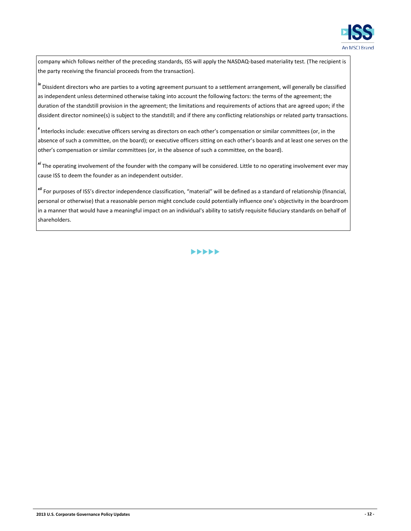

company which follows neither of the preceding standards, ISS will apply the NASDAQ-based materiality test. (The recipient is the party receiving the financial proceeds from the transaction).

*ix* Dissident directors who are parties to a voting agreement pursuant to a settlement arrangement, will generally be classified as independent unless determined otherwise taking into account the following factors: the terms of the agreement; the duration of the standstill provision in the agreement; the limitations and requirements of actions that are agreed upon; if the dissident director nominee(s) is subject to the standstill; and if there any conflicting relationships or related party transactions.

*x* Interlocks include: executive officers serving as directors on each other's compensation or similar committees (or, in the absence of such a committee, on the board); or executive officers sitting on each other's boards and at least one serves on the other's compensation or similar committees (or, in the absence of such a committee, on the board).

*xi* The operating involvement of the founder with the company will be considered. Little to no operating involvement ever may cause ISS to deem the founder as an independent outsider.

*xii* For purposes of ISS's director independence classification, "material" will be defined as a standard of relationship (financial, personal or otherwise) that a reasonable person might conclude could potentially influence one's objectivity in the boardroom in a manner that would have a meaningful impact on an individual's ability to satisfy requisite fiduciary standards on behalf of shareholders.

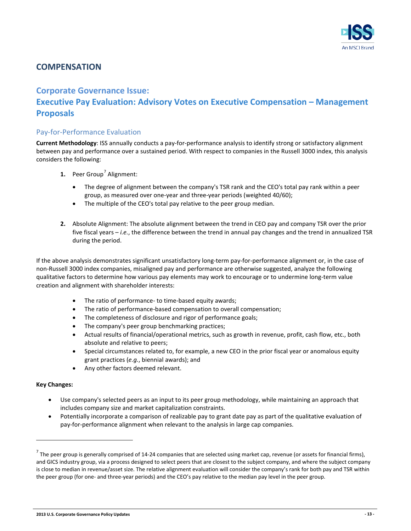

### <span id="page-12-0"></span>**COMPENSATION**

## <span id="page-12-1"></span>**Corporate Governance Issue: Executive Pay Evaluation: Advisory Votes on Executive Compensation – Management Proposals**

#### <span id="page-12-2"></span>Pay-for-Performance Evaluation

**Current Methodology**: ISS annually conducts a pay-for-performance analysis to identify strong or satisfactory alignment between pay and performance over a sustained period. With respect to companies in the Russell 3000 index, this analysis considers the following:

- **1.** Peer Group<sup>[7](#page-12-3)</sup> Alignment:
	- The degree of alignment between the company's TSR rank and the CEO's total pay rank within a peer group, as measured over one-year and three-year periods (weighted 40/60);
	- The multiple of the CEO's total pay relative to the peer group median.
- **2.** Absolute Alignment: The absolute alignment between the trend in CEO pay and company TSR over the prior five fiscal years – *i.e.*, the difference between the trend in annual pay changes and the trend in annualized TSR during the period.

If the above analysis demonstrates significant unsatisfactory long-term pay-for-performance alignment or, in the case of non-Russell 3000 index companies, misaligned pay and performance are otherwise suggested, analyze the following qualitative factors to determine how various pay elements may work to encourage or to undermine long-term value creation and alignment with shareholder interests:

- The ratio of performance- to time-based equity awards;
- The ratio of performance-based compensation to overall compensation;
- The completeness of disclosure and rigor of performance goals;
- The company's peer group benchmarking practices;
- Actual results of financial/operational metrics, such as growth in revenue, profit, cash flow, etc., both absolute and relative to peers;
- Special circumstances related to, for example, a new CEO in the prior fiscal year or anomalous equity grant practices (*e.g.*, biennial awards); and
- Any other factors deemed relevant.

#### **Key Changes:**

- Use company's selected peers as an input to its peer group methodology, while maintaining an approach that includes company size and market capitalization constraints.
- Potentially incorporate a comparison of realizable pay to grant date pay as part of the qualitative evaluation of pay-for-performance alignment when relevant to the analysis in large cap companies.

<span id="page-12-3"></span> $<sup>7</sup>$  The peer group is generally comprised of 14-24 companies that are selected using market cap, revenue (or assets for financial firms),</sup> and GICS industry group, via a process designed to select peers that are closest to the subject company, and where the subject company is close to median in revenue/asset size. The relative alignment evaluation will consider the company's rank for both pay and TSR within the peer group (for one- and three-year periods) and the CEO's pay relative to the median pay level in the peer group.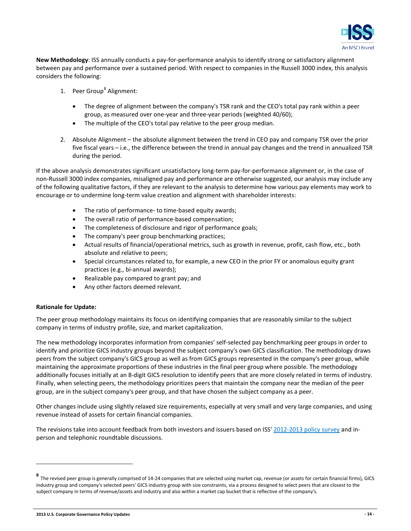

**New Methodology**: ISS annually conducts a pay-for-performance analysis to identify strong or satisfactory alignment between pay and performance over a sustained period. With respect to companies in the Russell 3000 index, this analysis considers the following:

- 1. Peer Group<sup>[8](#page-13-0)</sup> Alignment:
	- The degree of alignment between the company's TSR rank and the CEO's total pay rank within a peer group, as measured over one-year and three-year periods (weighted 40/60);
	- The multiple of the CEO's total pay relative to the peer group median.
- 2. Absolute Alignment the absolute alignment between the trend in CEO pay and company TSR over the prior five fiscal years – i.e., the difference between the trend in annual pay changes and the trend in annualized TSR during the period.

If the above analysis demonstrates significant unsatisfactory long-term pay-for-performance alignment or, in the case of non-Russell 3000 index companies, misaligned pay and performance are otherwise suggested, our analysis may include any of the following qualitative factors, if they are relevant to the analysis to determine how various pay elements may work to encourage or to undermine long-term value creation and alignment with shareholder interests:

- The ratio of performance- to time-based equity awards;
- The overall ratio of performance-based compensation;
- The completeness of disclosure and rigor of performance goals;
- The company's peer group benchmarking practices;
- Actual results of financial/operational metrics, such as growth in revenue, profit, cash flow, etc., both absolute and relative to peers;
- Special circumstances related to, for example, a new CEO in the prior FY or anomalous equity grant practices (e.g., bi-annual awards);
- Realizable pay compared to grant pay; and
- Any other factors deemed relevant.

#### **Rationale for Update:**

The peer group methodology maintains its focus on identifying companies that are reasonably similar to the subject company in terms of industry profile, size, and market capitalization.

The new methodology incorporates information from companies' self-selected pay benchmarking peer groups in order to identify and prioritize GICS industry groups beyond the subject company's own GICS classification. The methodology draws peers from the subject company's GICS group as well as from GICS groups represented in the company's peer group, while maintaining the approximate proportions of these industries in the final peer group where possible. The methodology additionally focuses initially at an 8-digit GICS resolution to identify peers that are more closely related in terms of industry. Finally, when selecting peers, the methodology prioritizes peers that maintain the company near the median of the peer group, are in the subject company's peer group, and that have chosen the subject company as a peer.

Other changes include using slightly relaxed size requirements, especially at very small and very large companies, and using revenue instead of assets for certain financial companies.

The revisions take into account feedback from both investors and issuers based on ISS' [2012-2013 policy survey](http://www.issgovernance.com/files/private/ISSPolicySurveyResults2012.pdf) and inperson and telephonic roundtable discussions.

<span id="page-13-0"></span>**<sup>8</sup>** The revised peer group is generally comprised of 14-24 companies that are selected using market cap, revenue (or assets for certain financial firms), GICS industry group and company's selected peers' GICS industry group with size constraints, via a process designed to select peers that are closest to the subject company in terms of revenue/assets and industry and also within a market cap bucket that is reflective of the company's.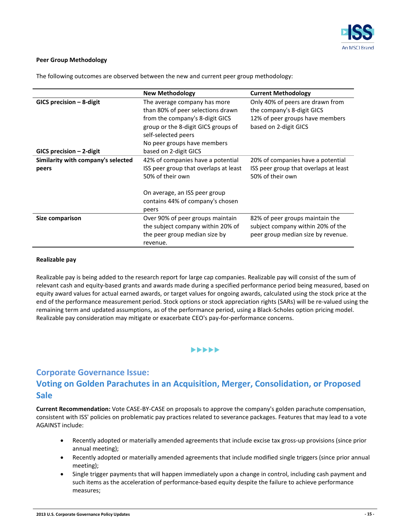

#### **Peer Group Methodology**

The following outcomes are observed between the new and current peer group methodology:

|                                    | <b>New Methodology</b>                                            | <b>Current Methodology</b>                                     |
|------------------------------------|-------------------------------------------------------------------|----------------------------------------------------------------|
| $GICS$ precision $-$ 8-digit       | The average company has more<br>than 80% of peer selections drawn | Only 40% of peers are drawn from<br>the company's 8-digit GICS |
|                                    | from the company's 8-digit GICS                                   | 12% of peer groups have members                                |
|                                    | group or the 8-digit GICS groups of<br>self-selected peers        | based on 2-digit GICS                                          |
|                                    | No peer groups have members                                       |                                                                |
| $GICS$ precision $-$ 2-digit       | based on 2-digit GICS                                             |                                                                |
| Similarity with company's selected | 42% of companies have a potential                                 | 20% of companies have a potential                              |
| peers                              | ISS peer group that overlaps at least<br>50% of their own         | ISS peer group that overlaps at least<br>50% of their own      |
|                                    | On average, an ISS peer group<br>contains 44% of company's chosen |                                                                |
|                                    | peers                                                             |                                                                |
| Size comparison                    | Over 90% of peer groups maintain                                  | 82% of peer groups maintain the                                |
|                                    | the subject company within 20% of                                 | subject company within 20% of the                              |
|                                    | the peer group median size by<br>revenue.                         | peer group median size by revenue.                             |

#### **Realizable pay**

Realizable pay is being added to the research report for large cap companies. Realizable pay will consist of the sum of relevant cash and equity-based grants and awards made during a specified performance period being measured, based on equity award values for actual earned awards, or target values for ongoing awards, calculated using the stock price at the end of the performance measurement period. Stock options or stock appreciation rights (SARs) will be re-valued using the remaining term and updated assumptions, as of the performance period, using a Black-Scholes option pricing model. Realizable pay consideration may mitigate or exacerbate CEO's pay-for-performance concerns.

#### $\blacktriangleright \blacktriangleright \blacktriangleright \blacktriangleright \blacktriangleright$

## <span id="page-14-0"></span>**Corporate Governance Issue: Voting on Golden Parachutes in an Acquisition, Merger, Consolidation, or Proposed Sale**

**Current Recommendation:** Vote CASE-BY-CASE on proposals to approve the company's golden parachute compensation, consistent with ISS' policies on problematic pay practices related to severance packages. Features that may lead to a vote AGAINST include:

- Recently adopted or materially amended agreements that include excise tax gross-up provisions (since prior annual meeting);
- Recently adopted or materially amended agreements that include modified single triggers (since prior annual meeting);
- Single trigger payments that will happen immediately upon a change in control, including cash payment and such items as the acceleration of performance-based equity despite the failure to achieve performance measures;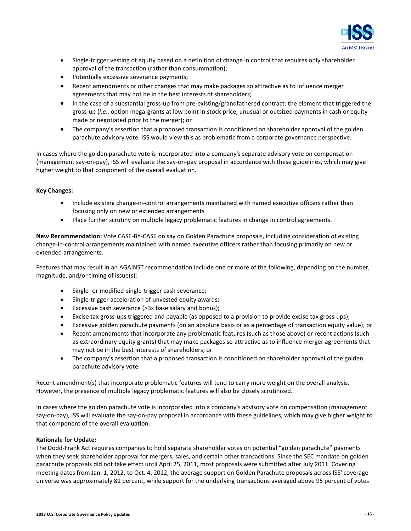

- Single-trigger vesting of equity based on a definition of change in control that requires only shareholder approval of the transaction (rather than consummation);
- Potentially excessive severance payments;
- Recent amendments or other changes that may make packages so attractive as to influence merger agreements that may not be in the best interests of shareholders;
- In the case of a substantial gross-up from pre-existing/grandfathered contract: the element that triggered the gross-up (*i.e.*, option mega-grants at low point in stock price, unusual or outsized payments in cash or equity made or negotiated prior to the merger); or
- The company's assertion that a proposed transaction is conditioned on shareholder approval of the golden parachute advisory vote. ISS would view this as problematic from a corporate governance perspective.

In cases where the golden parachute vote is incorporated into a company's separate advisory vote on compensation (management say-on-pay), ISS will evaluate the say-on-pay proposal in accordance with these guidelines, which may give higher weight to that component of the overall evaluation.

#### **Key Changes:**

- Include existing change-in-control arrangements maintained with named executive officers rather than focusing only on new or extended arrangements
- Place further scrutiny on multiple legacy problematic features in change in control agreements.

**New Recommendation:** Vote CASE-BY-CASE on say on Golden Parachute proposals, including consideration of existing change-in-control arrangements maintained with named executive officers rather than focusing primarily on new or extended arrangements.

Features that may result in an AGAINST recommendation include one or more of the following, depending on the number, magnitude, and/or timing of issue(s):

- Single- or modified-single-trigger cash severance;
- Single-trigger acceleration of unvested equity awards;
- Excessive cash severance (>3x base salary and bonus);
- Excise tax gross-ups triggered and payable (as opposed to a provision to provide excise tax gross-ups);
- Excessive golden parachute payments (on an absolute basis or as a percentage of transaction equity value); or
- Recent amendments that incorporate any problematic features (such as those above) or recent actions (such as extraordinary equity grants) that may make packages so attractive as to influence merger agreements that may not be in the best interests of shareholders; or
- The company's assertion that a proposed transaction is conditioned on shareholder approval of the golden parachute advisory vote.

Recent amendment(s) that incorporate problematic features will tend to carry more weight on the overall analysis. However, the presence of multiple legacy problematic features will also be closely scrutinized.

In cases where the golden parachute vote is incorporated into a company's advisory vote on compensation (management say-on-pay), ISS will evaluate the say-on-pay proposal in accordance with these guidelines, which may give higher weight to that component of the overall evaluation.

#### **Rationale for Update:**

The Dodd-Frank Act requires companies to hold separate shareholder votes on potential "golden parachute" payments when they seek shareholder approval for mergers, sales, and certain other transactions. Since the SEC mandate on golden parachute proposals did not take effect until April 25, 2011, most proposals were submitted after July 2011. Covering meeting dates from Jan. 1, 2012, to Oct. 4, 2012, the average support on Golden Parachute proposals across ISS' coverage universe was approximately 81 percent, while support for the underlying transactions averaged above 95 percent of votes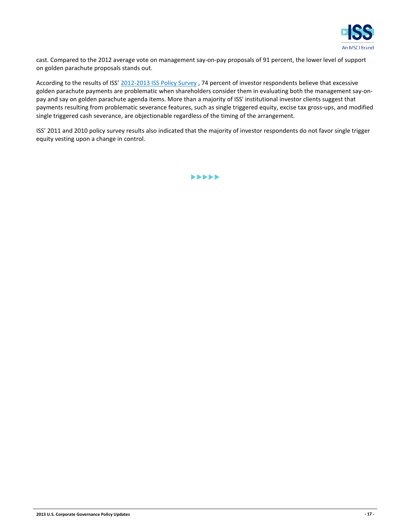

cast. Compared to the 2012 average vote on management say-on-pay proposals of 91 percent, the lower level of support on golden parachute proposals stands out.

According to the results of ISS' [2012-2013 ISS Policy Survey](http://www.issgovernance.com/files/private/ISSPolicySurveyResults2012.pdf) , 74 percent of investor respondents believe that excessive golden parachute payments are problematic when shareholders consider them in evaluating both the management say-onpay and say on golden parachute agenda items. More than a majority of ISS' institutional investor clients suggest that payments resulting from problematic severance features, such as single triggered equity, excise tax gross-ups, and modified single triggered cash severance, are objectionable regardless of the timing of the arrangement.

ISS' 2011 and 2010 policy survey results also indicated that the majority of investor respondents do not favor single trigger equity vesting upon a change in control.

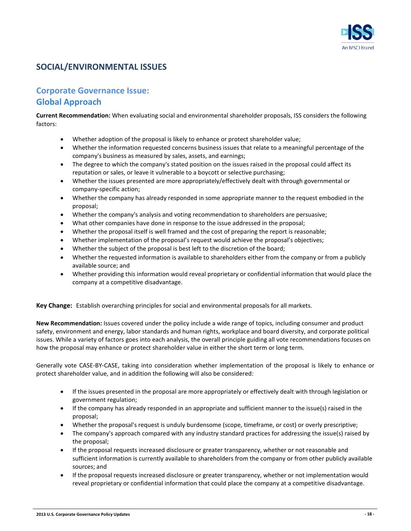

### <span id="page-17-0"></span>**SOCIAL/ENVIRONMENTAL ISSUES**

## <span id="page-17-1"></span>**Corporate Governance Issue: Global Approach**

**Current Recommendation:** When evaluating social and environmental shareholder proposals, ISS considers the following factors:

- Whether adoption of the proposal is likely to enhance or protect shareholder value;
- Whether the information requested concerns business issues that relate to a meaningful percentage of the company's business as measured by sales, assets, and earnings;
- The degree to which the company's stated position on the issues raised in the proposal could affect its reputation or sales, or leave it vulnerable to a boycott or selective purchasing;
- Whether the issues presented are more appropriately/effectively dealt with through governmental or company-specific action;
- Whether the company has already responded in some appropriate manner to the request embodied in the proposal;
- Whether the company's analysis and voting recommendation to shareholders are persuasive;
- What other companies have done in response to the issue addressed in the proposal;
- Whether the proposal itself is well framed and the cost of preparing the report is reasonable;
- Whether implementation of the proposal's request would achieve the proposal's objectives;
- Whether the subject of the proposal is best left to the discretion of the board;
- Whether the requested information is available to shareholders either from the company or from a publicly available source; and
- Whether providing this information would reveal proprietary or confidential information that would place the company at a competitive disadvantage.

**Key Change:** Establish overarching principles for social and environmental proposals for all markets.

**New Recommendation:** Issues covered under the policy include a wide range of topics, including consumer and product safety, environment and energy, labor standards and human rights, workplace and board diversity, and corporate political issues. While a variety of factors goes into each analysis, the overall principle guiding all vote recommendations focuses on how the proposal may enhance or protect shareholder value in either the short term or long term.

Generally vote CASE-BY-CASE, taking into consideration whether implementation of the proposal is likely to enhance or protect shareholder value, and in addition the following will also be considered:

- If the issues presented in the proposal are more appropriately or effectively dealt with through legislation or government regulation;
- If the company has already responded in an appropriate and sufficient manner to the issue(s) raised in the proposal;
- Whether the proposal's request is unduly burdensome (scope, timeframe, or cost) or overly prescriptive;
- The company's approach compared with any industry standard practices for addressing the issue(s) raised by the proposal;
- If the proposal requests increased disclosure or greater transparency, whether or not reasonable and sufficient information is currently available to shareholders from the company or from other publicly available sources; and
- If the proposal requests increased disclosure or greater transparency, whether or not implementation would reveal proprietary or confidential information that could place the company at a competitive disadvantage.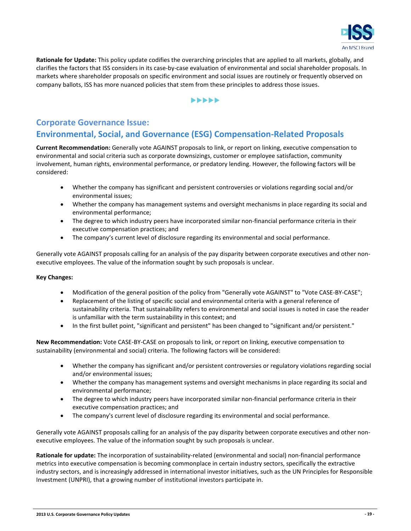

**Rationale for Update:** This policy update codifies the overarching principles that are applied to all markets, globally, and clarifies the factors that ISS considers in its case-by-case evaluation of environmental and social shareholder proposals. In markets where shareholder proposals on specific environment and social issues are routinely or frequently observed on company ballots, ISS has more nuanced policies that stem from these principles to address those issues.

#### $\blacktriangleright\blacktriangleright\blacktriangleright\blacktriangleright\blacktriangleright$

## <span id="page-18-0"></span>**Corporate Governance Issue: Environmental, Social, and Governance (ESG) Compensation-Related Proposals**

**Current Recommendation:** Generally vote AGAINST proposals to link, or report on linking, executive compensation to environmental and social criteria such as corporate downsizings, customer or employee satisfaction, community involvement, human rights, environmental performance, or predatory lending. However, the following factors will be considered:

- Whether the company has significant and persistent controversies or violations regarding social and/or environmental issues;
- Whether the company has management systems and oversight mechanisms in place regarding its social and environmental performance;
- The degree to which industry peers have incorporated similar non-financial performance criteria in their executive compensation practices; and
- The company's current level of disclosure regarding its environmental and social performance.

Generally vote AGAINST proposals calling for an analysis of the pay disparity between corporate executives and other nonexecutive employees. The value of the information sought by such proposals is unclear.

#### **Key Changes:**

- Modification of the general position of the policy from "Generally vote AGAINST" to "Vote CASE-BY-CASE";
- Replacement of the listing of specific social and environmental criteria with a general reference of sustainability criteria. That sustainability refers to environmental and social issues is noted in case the reader is unfamiliar with the term sustainability in this context; and
- In the first bullet point, "significant and persistent" has been changed to "significant and/or persistent."

**New Recommendation:** Vote CASE-BY-CASE on proposals to link, or report on linking, executive compensation to sustainability (environmental and social) criteria. The following factors will be considered:

- Whether the company has significant and/or persistent controversies or regulatory violations regarding social and/or environmental issues;
- Whether the company has management systems and oversight mechanisms in place regarding its social and environmental performance;
- The degree to which industry peers have incorporated similar non-financial performance criteria in their executive compensation practices; and
- The company's current level of disclosure regarding its environmental and social performance.

Generally vote AGAINST proposals calling for an analysis of the pay disparity between corporate executives and other nonexecutive employees. The value of the information sought by such proposals is unclear.

**Rationale for update:** The incorporation of sustainability-related (environmental and social) non-financial performance metrics into executive compensation is becoming commonplace in certain industry sectors, specifically the extractive industry sectors, and is increasingly addressed in international investor initiatives, such as the UN Principles for Responsible Investment (UNPRI), that a growing number of institutional investors participate in.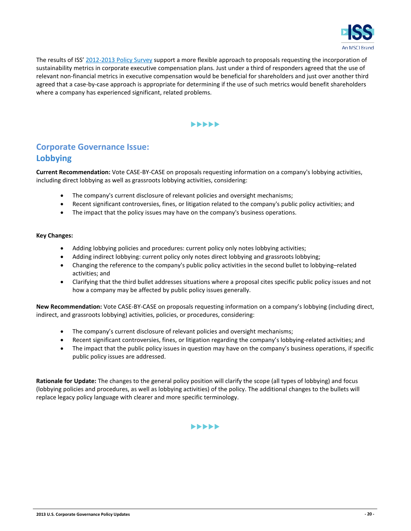

The results of ISS' [2012-2013 Policy Survey](http://www.issgovernance.com/files/private/ISSPolicySurveyResults2012.pdf) support a more flexible approach to proposals requesting the incorporation of sustainability metrics in corporate executive compensation plans. Just under a third of responders agreed that the use of relevant non-financial metrics in executive compensation would be beneficial for shareholders and just over another third agreed that a case-by-case approach is appropriate for determining if the use of such metrics would benefit shareholders where a company has experienced significant, related problems.

#### $\blacktriangleright\blacktriangleright\blacktriangleright\blacktriangleright\blacktriangleright$

## <span id="page-19-0"></span>**Corporate Governance Issue: Lobbying**

**Current Recommendation:** Vote CASE-BY-CASE on proposals requesting information on a company's lobbying activities, including direct lobbying as well as grassroots lobbying activities, considering:

- The company's current disclosure of relevant policies and oversight mechanisms;
- Recent significant controversies, fines, or litigation related to the company's public policy activities; and
- The impact that the policy issues may have on the company's business operations.

#### **Key Changes:**

- Adding lobbying policies and procedures: current policy only notes lobbying activities;
- Adding indirect lobbying: current policy only notes direct lobbying and grassroots lobbying;
- Changing the reference to the company's public policy activities in the second bullet to lobbying–related activities; and
- Clarifying that the third bullet addresses situations where a proposal cites specific public policy issues and not how a company may be affected by public policy issues generally.

**New Recommendation:** Vote CASE-BY-CASE on proposals requesting information on a company's lobbying (including direct, indirect, and grassroots lobbying) activities, policies, or procedures, considering:

- The company's current disclosure of relevant policies and oversight mechanisms;
- Recent significant controversies, fines, or litigation regarding the company's lobbying-related activities; and
- The impact that the public policy issues in question may have on the company's business operations, if specific public policy issues are addressed.

**Rationale for Update:** The changes to the general policy position will clarify the scope (all types of lobbying) and focus (lobbying policies and procedures, as well as lobbying activities) of the policy. The additional changes to the bullets will replace legacy policy language with clearer and more specific terminology.